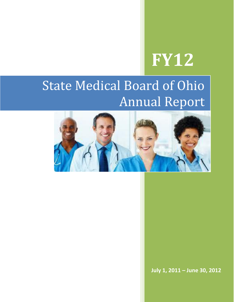# **FY12**

# State Medical Board of Ohio Annual Report



**July 1, 2011 – June 30, 2012**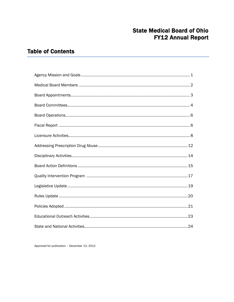### **State Medical Board of Ohio FY12 Annual Report**

### **Table of Contents**

Approved for publication - December 13, 2012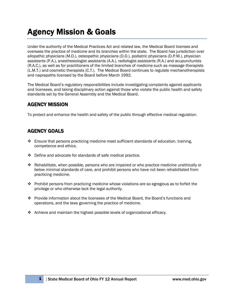# Agency Mission & Goals

Under the authority of the Medical Practices Act and related law, the Medical Board licenses and oversees the practice of medicine and its branches within the state. The Board has jurisdiction over allopathic physicians (M.D.), osteopathic physicians (D.O.), podiatric physicians (D.P.M.), physician assistants (P.A.), anesthesiologist assistants (A.A.), radiologist assistants (R.A.) and acupuncturists (R.A.C.), as well as for practitioners of the limited branches of medicine such as massage therapists (L.M.T.) and cosmetic therapists (C.T.). The Medical Board continues to regulate mechanotherapists and naprapaths licensed by the Board before March 1992.

The Medical Board's regulatory responsibilities include investigating complaints against applicants and licensees, and taking disciplinary action against those who violate the public health and safety standards set by the General Assembly and the Medical Board.

### AGENCY MISSION

To protect and enhance the health and safety of the public through effective medical regulation.

### AGENCY GOALS

- $\cdot$  Ensure that persons practicing medicine meet sufficient standards of education, training, competence and ethics.
- Define and advocate for standards of safe medical practice.
- $\triangle$  Rehabilitate, when possible, persons who are impaired or who practice medicine unethically or below minimal standards of care, and prohibit persons who have not been rehabilitated from practicing medicine.
- Prohibit persons from practicing medicine whose violations are so egregious as to forfeit the privilege or who otherwise lack the legal authority.
- Provide information about the licensees of the Medical Board, the Board's functions and operations, and the laws governing the practice of medicine.
- Achieve and maintain the highest possible levels of organizational efficacy.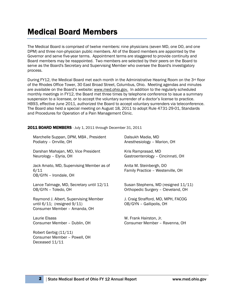# Medical Board Members

The Medical Board is comprised of twelve members: nine physicians (seven MD, one DO, and one DPM) and three non-physician public members. All of the Board members are appointed by the Governor and serve five-year terms. Appointment terms are staggered to provide continuity and Board members may be reappointed. Two members are selected by their peers on the Board to serve as the Board's Secretary and Supervising Member who oversee the Board's investigatory process.

During FY12, the Medical Board met each month in the Administrative Hearing Room on the 3<sup>rd</sup> floor of the Rhodes Office Tower, 30 East Broad Street, Columbus, Ohio. Meeting agendas and minutes are available on the Board's website: [www.med.ohio.gov.](http://www.med.ohio.gov/) In addition to the regularly scheduled monthly meetings in FY12, the Board met three times by telephone conference to issue a summary suspension to a licensee, or to accept the voluntary surrender of a doctor's license to practice. HB93, effective June 2011, authorized the Board to accept voluntary surrenders via teleconference. The Board also held a special meeting on August 18, 2011 to adopt Rule 4731-29-01, Standards and Procedures for Operation of a Pain Management Clinic.

### 2011 BOARD MEMBERS - July 1, 2011 through December 31, 2011

| Marchelle Suppan, DPM, MBA, President                                                                      | Dalsukh Madia, MD                                             |
|------------------------------------------------------------------------------------------------------------|---------------------------------------------------------------|
| Podiatry - Orrville, OH                                                                                    | Anesthesiology - Marion, OH                                   |
| Darshan Mahajan, MD, Vice President                                                                        | Kris Ramprasad, MD                                            |
| Neurology - Elyria, OH                                                                                     | Gastroenterology - Cincinnati, OH                             |
| Jack Amato, MD, Supervising Member as of<br>6/11<br>OB/GYN - Irondale, OH                                  | Anita M. Steinbergh, DO<br>Family Practice - Westerville, OH  |
| Lance Talmage, MD, Secretary until 12/11                                                                   | Susan Stephens, MD (resigned 11/11)                           |
| OB/GYN - Toledo, OH                                                                                        | Orthopedic Surgery - Cleveland, OH                            |
| Raymond J. Albert, Supervising Member<br>until $6/11$ ; (resigned $9/11$ )<br>Consumer Member - Amanda, OH | J. Craig Strafford, MD, MPH, FACOG<br>OB/GYN - Gallipolis, OH |
| Laurie Elsass                                                                                              | W. Frank Hairston, Jr.                                        |
| Consumer Member - Dublin, OH                                                                               | Consumer Member - Ravenna, OH                                 |
| Robert Gerbig (11/11)<br>Consumer Member - Powell, OH<br>Deceased 11/11                                    |                                                               |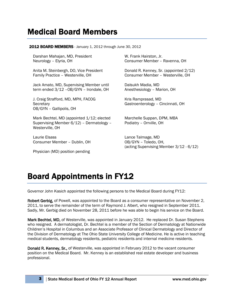## Medical Board Members

### **2012 BOARD MEMBERS** - January 1, 2012 through June 30, 2012

Darshan Mahajan, MD, President Neurology – Elyria, OH

Anita M. Steinbergh, DO, Vice President Family Practice – Westerville, OH

Jack Amato, MD, Supervising Member until term ended 3/12 –OB/GYN – Irondale, OH

J. Craig Strafford, MD, MPH, FACOG **Secretary** OB/GYN – Gallipolis, OH

Mark Bechtel, MD (appointed 1/12; elected Supervising Member 6/12) – Dermatology – Westerville, OH

Laurie Elsass Consumer Member – Dublin, OH

Physician (MD) position pending

W. Frank Hairston, Jr. Consumer Member – Ravenna, OH

Donald R. Kenney, Sr. (appointed 2/12) Consumer Member – Westerville, OH

Dalsukh Madia, MD Anesthesiology – Marion, OH

Kris Ramprasad, MD Gastroenterology – Cincinnati, OH

Marchelle Suppan, DPM, MBA Podiatry – Orrville, OH

Lance Talmage, MD OB/GYN – Toledo, OH, (acting Supervising Member 3/12 - 6/12)

# Board Appointments in FY12

Governor John Kasich appointed the following persons to the Medical Board during FY12:

Robert Gerbig, of Powell, was appointed to the Board as a consumer representative on November 2, 2011, to serve the remainder of the term of Raymond J. Albert, who resigned in September 2011. Sadly, Mr. Gerbig died on November 28, 2011 before he was able to begin his service on the Board.

Mark Bechtel, MD, of Westerville, was appointed in January 2012. He replaced Dr. Susan Stephens who resigned. A dermatologist, Dr. Bechtel is a member of the Section of Dermatology at Nationwide Children's Hospital in Columbus and an Associate Professor of Clinical Dermatology and Director of the Division of Dermatology at The Ohio State University College of Medicine. He is active in teaching medical students, dermatology residents, pediatric residents and internal medicine residents.

Donald R. Kenney, Sr., of Westerville, was appointed in February 2012 to the vacant consumer position on the Medical Board. Mr. Kenney is an established real estate developer and business professional.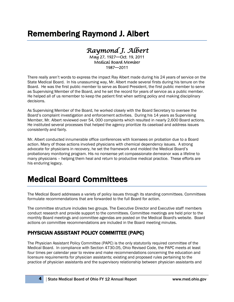# Remembering Raymond J. Albert

### *Raymond J. Albert*

May 27, 1927—Oct. 19, 2011 Medical Board Member 1987—2011

There really aren't words to express the impact Ray Albert made during his 24 years of service on the State Medical Board. In his unassuming way, Mr. Albert made several firsts during his tenure on the Board. He was the first public member to serve as Board President, the first public member to serve as Supervising Member of the Board, and he set the record for years of service as a public member. He helped all of us remember to keep the patient first when setting policy and making disciplinary decisions.

As Supervising Member of the Board, he worked closely with the Board Secretary to oversee the Board's complaint investigation and enforcement activities. During his 14 years as Supervising Member, Mr. Albert reviewed over 54, 000 complaints which resulted in nearly 2,600 Board actions. He instituted several processes that helped the agency prioritize its caseload and address issues consistently and fairly.

Mr. Albert conducted innumerable office conferences with licensees on probation due to a Board action. Many of those actions involved physicians with chemical dependency issues. A strong advocate for physicians in recovery, he set the framework and molded the Medical Board's probationary monitoring program. His no nonsense yet compassionate demeanor was a lifeline to many physicians – helping them heal and return to productive medical practice. These efforts are his enduring legacy.

# Medical Board Committees

The Medical Board addresses a variety of policy issues through its standing committees. Committees formulate recommendations that are forwarded to the full Board for action.

The committee structure includes two groups. The Executive Director and Executive staff members conduct research and provide support to the committees. Committee meetings are held prior to the monthly Board meetings and committee agendas are posted on the Medical Board's website. Board actions on committee recommendations are included in the Board meeting minutes.

### PHYSICIAN ASSISTANT POLICY COMMITTEE (PAPC)

The Physician Assistant Policy Committee (PAPC) is the only statutorily required committee of the Medical Board. In compliance with Section 4730.05, Ohio Revised Code, the PAPC meets at least four times per calendar year to review and make recommendations concerning the education and licensure requirements for physician assistants; existing and proposed rules pertaining to the practice of physician assistants and the supervisory relationship between physician assistants and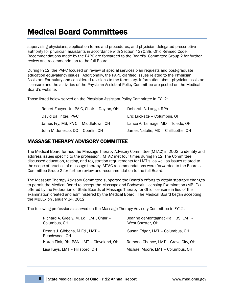# Medical Board Committees

supervising physicians; application forms and procedures; and physician-delegated prescriptive authority for physician assistants in accordance with Section 4370.38, Ohio Revised Code. Recommendations made by the PAPC are forwarded to the Board's Committee Group 2 for further review and recommendation to the full Board.

During FY12, the PAPC focused on review of special services plan requests and post-graduate education equivalency issues. Additionally, the PAPC clarified issues related to the Physician Assistant Formulary and considered revisions to the formulary. Information about physician assistant licensure and the activities of the Physician Assistant Policy Committee are posted on the Medical Board's website.

Those listed below served on the Physician Assistant Policy Committee in FY12:

| Robert Zaayer, Jr., PA-C, Chair - Dayton, OH | Deborah A. Lange, RPh               |
|----------------------------------------------|-------------------------------------|
| David Ballinger, PA-C                        | Eric Luckage - Columbus, OH         |
| James Fry, MS, PA-C - Middletown, OH         | Lance A. Talmage, MD - Toledo, OH   |
| John M. Jonesco, DO - Oberlin, OH            | James Natalie, MD - Chillicothe, OH |

### MASSAGE THERAPY ADVISORY COMMITTEE

The Medical Board formed the Massage Therapy Advisory Committee (MTAC) in 2003 to identify and address issues specific to the profession. MTAC met four times during FY12. The Committee discussed education, testing, and registration requirements for LMT's, as well as issues related to the scope of practice of massage therapy. MTAC recommendations were forwarded to the Board's Committee Group 2 for further review and recommendation to the full Board.

The Massage Therapy Advisory Committee supported the Board's efforts to obtain statutory changes to permit the Medical Board to accept the Massage and Bodywork Licensing Examination (MBLEx) offered by the Federation of State Boards of Massage Therapy for Ohio licensure in lieu of the examination created and administered by the Medical Board. The Medical Board began accepting the MBLEx on January 24, 2012.

The following professionals served on the Massage Therapy Advisory Committee in FY12:

| Richard A. Greely, M. Ed., LMT, Chair -<br>Columbus, OH | Jeanne deMontagnac-Hall, BS, LMT -<br>West Chester, OH |
|---------------------------------------------------------|--------------------------------------------------------|
| Dennis J. Gibbons, M.Ed., LMT -<br>Beachwood, OH        | Susan Edgar, LMT - Columbus, OH                        |
| Karen Fink, RN, BSN, LMT - Cleveland, OH                | Ramona Chance, LMT - Grove City, OH                    |
| Lisa Keys, LMT - Hillsboro, OH                          | Michael Moore, LMT - Columbus, OH                      |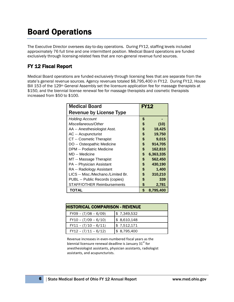# Board Operations

The Executive Director oversees day-to-day operations. During FY12, staffing levels included approximately 76 full time and one intermittent position. Medical Board operations are funded exclusively through licensing-related fees that are non-general revenue fund sources.

### FY 12 Fiscal Report

Medical Board operations are funded exclusively through licensing fees that are separate from the state's general revenue sources. Agency revenues totaled \$8,795,400 in FY12. During FY12, House Bill 153 of the 129<sup>th</sup> General Assembly set the licensure application fee for massage therapists at \$150, and the biennial license renewal fee for massage therapists and cosmetic therapists increased from \$50 to \$100.

| <b>Medical Board</b>               |    | <b>FY12</b> |
|------------------------------------|----|-------------|
| <b>Revenue by License Type</b>     |    |             |
| <b>Holding Account</b>             | \$ |             |
| Miscellaneous/Other                | \$ | (10)        |
| AA -- Anesthesiologist Asst.       | \$ | 18,425      |
| AC -- Acupuncturist                | \$ | 19,750      |
| CT -- Cosmetic Therapist           | \$ | 9,015       |
| DO -- Osteopathic Medicine         | \$ | 914,705     |
| DPM -- Podiatric Medicine          | \$ | 162,810     |
| MD -- Medicine                     | \$ | 6,363,335   |
| MT -- Massage Therapist            | \$ | 562,450     |
| PA -- Physician Assistant          | \$ | 430,190     |
| RA -- Radiology Assistant          | \$ | 1,400       |
| LICS -- Misc./Mechano./Limited Br. | \$ | 310,210     |
| PUBL -- Public Records (copies)    | \$ | 339         |
| <b>STAFF/OTHER Reimbursements</b>  | \$ | 2,781       |
| TOTAL                              | \$ | 8,795,400   |

| <b>HISTORICAL COMPARISON - REVENUE</b> |             |  |
|----------------------------------------|-------------|--|
| $FY09 - (7/08 - 6/09)$                 | \$7,349,532 |  |
| $FY10 - (7/09 - 6/10)$                 | \$8,610,148 |  |
| $FY11 - (7/10 - 6/11)$                 | \$7,512,171 |  |
| $FY12 - (7/11 - 6/12)$                 | \$8,795,400 |  |

Revenue increases in even-numbered fiscal years as the biennial licensure renewal deadline is January 31<sup>st</sup> for anesthesiologist assistants, physician assistants, radiologist assistants, and acupuncturists.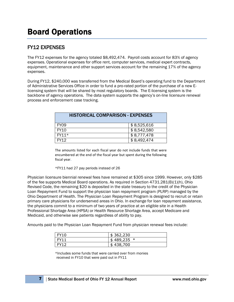### FY12 EXPENSES

The FY12 expenses for the agency totaled \$8,492,474. Payroll costs account for 83% of agency expenses. Operational expenses for office rent, computer services, medical expert contracts, equipment, maintenance and other support services account for the remaining 17% of the agency expenses.

During FY12, \$240,000 was transferred from the Medical Board's operating fund to the Department of Administrative Services Office in order to fund a pro-rated portion of the purchase of a new Elicensing system that will be shared by most regulatory boards. The E-licensing system is the backbone of agency operations. The data system supports the agency's on-line licensure renewal process and enforcement case tracking.

| <b>HISTORICAL COMPARISON - EXPENSES</b> |             |  |
|-----------------------------------------|-------------|--|
| FY <sub>09</sub>                        | \$8,525,616 |  |
| <b>FY10</b>                             | \$8,542,580 |  |
| $FY11*$                                 | \$8,777,478 |  |
| FY12                                    | \$8,492,474 |  |

The amounts listed for each fiscal year do not include funds that were encumbered at the end of the fiscal year but spent during the following fiscal year.

\*FY11 had 27 pay periods instead of 26

Physician licensure biennial renewal fees have remained at \$305 since 1999. However, only \$285 of the fee supports Medical Board operations. As required in Section 4731.281(B)(1)(h), Ohio Revised Code, the remaining \$20 is deposited in the state treasury to the credit of the Physician Loan Repayment Fund to support the physician loan repayment program (PLRP) managed by the Ohio Department of Health. The Physician Loan Repayment Program is designed to recruit or retain primary care physicians for underserved areas in Ohio. In exchange for loan repayment assistance, the physicians commit to a minimum of two years of practice at an eligible site in a Health Professional Shortage Area (HPSA) or Health Resource Shortage Area, accept Medicare and Medicaid, and otherwise see patients regardless of ability to pay.

Amounts paid to the Physician Loan Repayment Fund from physician renewal fees include:

| <b>FY10</b> | \$362,230       |
|-------------|-----------------|
|             | 489,235 *<br>S. |
| EV11        | 438,700<br>S    |

\*Includes some funds that were carried over from monies received in FY10 that were paid out in FY11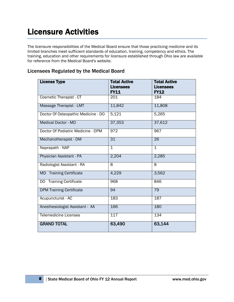The licensure responsibilities of the Medical Board ensure that those practicing medicine and its limited branches meet sufficient standards of education, training, competency and ethics. The training, education and other requirements for licensure established through Ohio law are available for reference from the Medical Board's website.

### Licensees Regulated by the Medical Board

| <b>License Type</b>                 | <b>Total Active</b>             | <b>Total Active</b>             |
|-------------------------------------|---------------------------------|---------------------------------|
|                                     | <b>Licensees</b><br><b>FY11</b> | <b>Licensees</b><br><b>FY12</b> |
| <b>Cosmetic Therapist - CT</b>      | 201                             | 184                             |
| Massage Therapist - LMT             | 11,842                          | 11,808                          |
| Doctor Of Osteopathic Medicine - DO | 5,121                           | 5,265                           |
|                                     |                                 |                                 |
| <b>Medical Doctor - MD</b>          | 37,353                          | 37,612                          |
| Doctor Of Podiatric Medicine - DPM  | 972                             | 967                             |
| Mechanotherapist - DM               | $\overline{31}$                 | $\overline{26}$                 |
| Naprapath - NAP                     | $\overline{1}$                  | $\overline{1}$                  |
| Physician Assistant - PA            | 2,204                           | 2,285                           |
| Radiologist Assistant - RA          | $\overline{\infty}$             | $\overline{8}$                  |
| <b>MD</b> Training Certificate      | 4,229                           | 3,562                           |
| DO Training Certificate             | 968                             | 846                             |
| <b>DPM Training Certificate</b>     | 94                              | 79                              |
| Acupuncturist - AC                  | 183                             | 187                             |
| Anesthesiologist Assistant - AA     | 166                             | 180                             |
| <b>Telemedicine Licenses</b>        | 117                             | 134                             |
| <b>GRAND TOTAL</b>                  | 63,490                          | 63,144                          |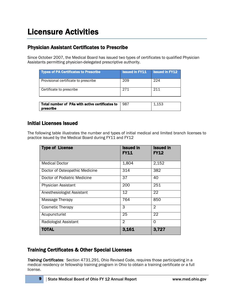### Physician Assistant Certificates to Prescribe

Since October 2007, the Medical Board has issued two types of certificates to qualified Physician Assistants permitting physician-delegated prescriptive authority.

| <b>Types of PA Certificates to Prescribe</b> | <b>Issued in FY11</b> | <b>Issued in FY12</b> |
|----------------------------------------------|-----------------------|-----------------------|
| Provisional certificate to prescribe         | 209                   | 224                   |
| Certificate to prescribe                     | 271                   | 211                   |
|                                              |                       |                       |

| Total number of PAs with active certificates to<br>prescribe | 987 | 153 |
|--------------------------------------------------------------|-----|-----|
|                                                              |     |     |

### Initial Licenses Issued

The following table illustrates the number and types of initial medical and limited branch licenses to practice issued by the Medical Board during FY11 and FY12

| <b>Type of License</b>         | <b>Issued in</b><br><b>FY11</b> | <b>Issued in</b><br><b>FY12</b> |
|--------------------------------|---------------------------------|---------------------------------|
| <b>Medical Doctor</b>          | 1,804                           | 2,152                           |
| Doctor of Osteopathic Medicine | 314                             | 382                             |
| Doctor of Podiatric Medicine   | 37                              | 40                              |
| Physician Assistant            | 200                             | 251                             |
| Anesthesiologist Assistant     | 12                              | 22                              |
| Massage Therapy                | 764                             | 850                             |
| <b>Cosmetic Therapy</b>        | 3                               | 2                               |
| Acupuncturist                  | 25                              | 22                              |
| Radiologist Assistant          | $\mathfrak{D}$                  | $\Omega$                        |
| <b>TOTAL</b>                   | 3,161                           | 3,727                           |

### Training Certificates & Other Special Licenses

*Training Certificates:* Section 4731.291, Ohio Revised Code, requires those participating in a medical residency or fellowship training program in Ohio to obtain a training certificate or a full license.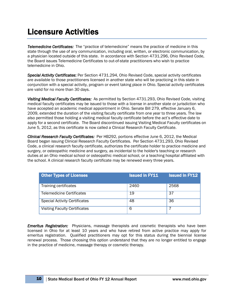*Telemedicine Certificates:* The "practice of telemedicine" means the practice of medicine in this state through the use of any communication, including oral, written, or electronic communication, by a physician located outside of this state. In accordance with Section 4731.296, Ohio Revised Code, the Board issues Telemedicine Certificates to out-of-state practitioners who wish to practice telemedicine in Ohio.

*Special Activity Certificates*: Per Section 4731.294, Ohio Revised Code, special activity certificates are available to those practitioners licensed in another state who will be practicing in this state in conjunction with a special activity, program or event taking place in Ohio. Special activity certificates are valid for no more than 30 days.

*Visiting Medical Faculty Certificates:* As permitted by Section 4731.293, Ohio Revised Code, visiting medical faculty certificates may be issued to those with a license in another state or jurisdiction who have accepted an academic medical appointment in Ohio. Senate Bill 279, effective January 6, 2009, extended the duration of the visiting faculty certificate from one year to three years. The law also permitted those holding a visiting medical faculty certificate before the act's effective date to apply for a second certificate. The Board discontinued issuing Visiting Medical Faculty certificates on June 5, 2012, as this certificate is now called a Clinical Research Faculty Certificate.

*Clinical Research Faculty Certificates:* Per HB292, portions effective June 6, 2012, the Medical Board began issuing Clinical Research Faculty Certificates. Per Section 4731.293, Ohio Revised Code, a clinical research faculty certificate, authorizes the certificate holder to practice medicine and surgery, or osteopathic medicine and surgery, as incidental to the holder's teaching or research duties at an Ohio medical school or osteopathic medical school, or a teaching hospital affiliated with the school. A clinical research faculty certificate may be renewed every three years.

| <b>Other Types of Licenses</b>       | <b>Issued in FY11</b> | <b>Issued in FY12</b> |
|--------------------------------------|-----------------------|-----------------------|
| Training certificates                | 2460                  | 2568                  |
| <b>Telemedicine Certificates</b>     | 19                    | 37                    |
| <b>Special Activity Certificates</b> | 48                    | 36                    |
| <b>Visiting Faculty Certificates</b> | 6                     |                       |

*Emeritus Registration:* Physicians, massage therapists and cosmetic therapists who have been licensed in Ohio for at least 10 years and who have retired from active practice may apply for emeritus registration. Qualified practitioners may opt for this status during the biennial license renewal process. Those choosing this option understand that they are no longer entitled to engage in the practice of medicine, massage therapy or cosmetic therapy.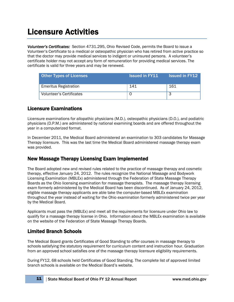*Volunteer's Certificates:* Section 4731.295, Ohio Revised Code, permits the Board to issue a Volunteer's Certificate to a medical or osteopathic physician who has retired from active practice so that the doctor may provide medical services to indigent or uninsured persons. A volunteer's certificate holder may not accept any form of remuneration for providing medical services. The certificate is valid for three years and may be renewed.

| <b>Other Types of Licenses</b> | <b>Issued in FY11</b> | <b>Issued in FY12</b> |
|--------------------------------|-----------------------|-----------------------|
| <b>Emeritus Registration</b>   | 141                   | 161                   |
| Volunteer's Certificates       |                       |                       |

### Licensure Examinations

Licensure examinations for allopathic physicians (M.D.), osteopathic physicians (D.O.), and podiatric physicians (D.P.M.) are administered by national examining boards and are offered throughout the year in a computerized format.

In December 2011, the Medical Board administered an examination to 303 candidates for Massage Therapy licensure. This was the last time the Medical Board administered massage therapy exam was provided.

### New Massage Therapy Licensing Exam Implemented

The Board adopted new and revised rules related to the practice of massage therapy and cosmetic therapy, effective January 24, 2012. The rules recognize the National Massage and Bodywork Licensing Examination (MBLEx) administered through the Federation of State Massage Therapy Boards as the Ohio licensing examination for massage therapists. The massage therapy licensing exam formerly administered by the Medical Board has been discontinued. As of January 24, 2012, eligible massage therapy applicants are able take the computer-based MBLEx examination throughout the year instead of waiting for the Ohio examination formerly administered twice per year by the Medical Board.

Applicants must pass the (MBLEx) and meet all the requirements for licensure under Ohio law to qualify for a massage therapy license in Ohio. Information about the MBLEx examination is available on the website of the Federation of State Massage Therapy Boards.

### Limited Branch Schools

The Medical Board grants Certificates of Good Standing to offer courses in massage therapy to schools satisfying the statutory requirement for curriculum content and instruction hour. Graduation from an approved school satisfies one of the massage therapy licensure eligibility requirements.

During FY12, 68 schools held Certificates of Good Standing. The complete list of approved limited branch schools is available on the Medical Board's website.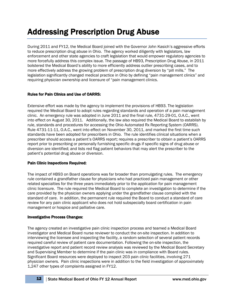# Addressing Prescription Drug Abuse

During 2011 and FY12, the Medical Board joined with the Governor John Kasich's aggressive efforts to reduce prescription drug abuse in Ohio. The agency worked diligently with legislators, law enforcement and other state agencies to craft legislation that would empower regulatory agencies to more forcefully address this complex issue. The passage of HB93, Prescription Drug Abuse, in 2011 bolstered the Medical Board's ability to more efficiently address outlier prescribing cases, and to more effectively address the growing problem of prescription drug diversion by "pill mills." The legislation significantly changed medical practice in Ohio by defining "pain management clinics" and requiring physician ownership and licensure of "pain management clinics.

### Rules for Pain Clinics and Use of OARRS:

Extensive effort was made by the agency to implement the provisions of HB93. The legislation required the Medical Board to adopt rules regarding standards and operation of a pain management clinic. An emergency rule was adopted in June 2011 and the final rule, 4731-29-01, O.A.C., went into effect on August 30, 2011. Additionally, the law also required the Medical Board to establish by rule, standards and procedures for accessing the Ohio Automated Rx Reporting System (OARRS). Rule 4731-11-11, O.A.C., went into effect on November 30, 2011, and marked the first time such standards have been adopted for prescribers in Ohio. The rule identifies clinical situations when a prescriber should access a patient's OARRS report; requires a prescriber to obtain a patient's OARRS report prior to prescribing or personally furnishing specific drugs if specific signs of drug abuse or diversion are identified; and lists red flag patient behaviors that may alert the prescriber to the patient's potential drug abuse or diversion.

### Pain Clinic Inspections Required:

The impact of HB93 on Board operations was far broader than promulgating rules. The emergency rule contained a grandfather clause for physicians who had practiced pain management or other related specialties for the three years immediately prior to the application for pain management clinic licensure. The rule required the Medical Board to complete an investigation to determine if the care provided by the physician owners applying under the grandfather clause complied with the standard of care. In addition, the permanent rule required the Board to conduct a standard of care review for any pain clinic applicant who does not hold subspecialty board certification in pain management or hospice and palliative care.

### Investigative Process Changes:

The agency created an investigative pain clinic inspection process and teamed a Medical Board investigator and Medical Board nurse reviewer to conduct the on-site inspection. In addition to interviewing the licensee and inspecting the facility, a random selection of several patient records required careful review of patient care documentation. Following the on-site inspection, the investigative report and patient record review analysis was reviewed by the Medical Board Secretary and Supervising Member to determine if the pain clinic was in compliance with Board rules. Significant Board resources were deployed to inspect 203 pain clinic facilities, involving 271 physician owners. Pain clinic inspections were in addition to the field investigation of approximately 1,247 other types of complaints assigned in FY12.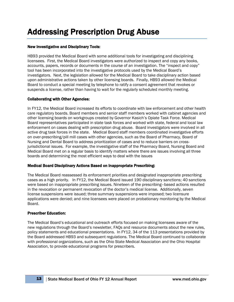# Addressing Prescription Drug Abuse

### New Investigative and Disciplinary Tools:

HB93 provided the Medical Board with some additional tools for investigating and disciplining licensees. First, the Medical Board investigators were authorized to inspect and copy any books, accounts, papers, records or documents in the course of an investigation. The "inspect and copy" tool has been incorporated into the investigative protocols used by the Medical Board's investigators. Next, the legislation allowed for the Medical Board to take disciplinary action based upon administrative actions taken by other licensing boards. Finally, HB93 allowed the Medical Board to conduct a special meeting by telephone to ratify a consent agreement that revokes or suspends a license, rather than having to wait for the regularly scheduled monthly meeting.

#### Collaborating with Other Agencies:

In FY12, the Medical Board increased its efforts to coordinate with law enforcement and other health care regulatory boards. Board members and senior staff members worked with cabinet agencies and other licensing boards on workgroups created by Governor Kasich's Opiate Task Force. Medical Board representatives participated in state task forces and worked with state, federal and local law enforcement on cases dealing with prescription drug abuse. Board investigators were involved in all active drug task forces in the state. Medical Board staff members coordinated investigative efforts on over-prescribing/pill mill cases with other agencies, such as the Board of Pharmacy, Board of Nursing and Dental Board to address prioritization of cases and to reduce barriers on crossjurisdictional issues. For example, the investigative staff of the Pharmacy Board, Nursing Board and Medical Board met on a regular basis to identify matters where there are issues involving all three boards and determining the most efficient ways to deal with the issues

#### Medical Board Disciplinary Actions Based on Inappropriate Prescribing:

The Medical Board reassessed its enforcement priorities and designated inappropriate prescribing cases as a high priority. In FY12, the Medical Board issued 190 disciplinary sanctions; 40 sanctions were based on inappropriate prescribing issues. Nineteen of the prescribing–based actions resulted in the revocation or permanent revocation of the doctor's medical license. Additionally, seven license suspensions were issued; three summary suspensions were imposed; two licensure applications were denied; and nine licensees were placed on probationary monitoring by the Medical Board.

#### Prescriber Education:

The Medical Board's educational and outreach efforts focused on making licensees aware of the new regulations through the Board's newsletter, FAQs and resource documents about the new rules, policy statements and educational presentations. In FY12, 34 of the 113 presentations provided by the Board addressed HB93 and subsequent regulations. The Medical Board continued to collaborate with professional organizations, such as the Ohio State Medical Association and the Ohio Hospital Association, to provide educational programs for prescribers.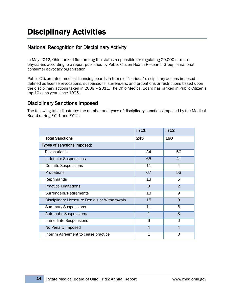# Disciplinary Activities

### National Recognition for Disciplinary Activity

In May 2012, Ohio ranked first among the states responsible for regulating 20,000 or more physicians according to a report published by Public Citizen Health Research Group, a national consumer advocacy organization.

Public Citizen rated medical licensing boards in terms of "serious" disciplinary actions imposed defined as license revocations, suspensions, surrenders, and probations or restrictions based upon the disciplinary actions taken in 2009 – 2011. The Ohio Medical Board has ranked in Public Citizen's top 10 each year since 1995.

### Disciplinary Sanctions Imposed

The following table illustrates the number and types of disciplinary sanctions imposed by the Medical Board during FY11 and FY12:

|                                               | <b>FY11</b>     | <b>FY12</b>     |
|-----------------------------------------------|-----------------|-----------------|
| <b>Total Sanctions</b>                        | 245             | 190             |
| Types of sanctions imposed:                   |                 |                 |
| Revocations                                   | 34              | 50              |
| <b>Indefinite Suspensions</b>                 | 65              | 41              |
| <b>Definite Suspensions</b>                   | 11              | $\overline{4}$  |
| Probations                                    | 67              | $\overline{53}$ |
| Reprimands                                    | 13              | 5               |
| <b>Practice Limitations</b>                   | $\overline{3}$  | $\overline{2}$  |
| Surrenders/Retirements                        | $\overline{13}$ | 9               |
| Disciplinary Licensure Denials or Withdrawals | 15              | $\overline{9}$  |
| <b>Summary Suspensions</b>                    | 11              | $\overline{8}$  |
| <b>Automatic Suspensions</b>                  | $\mathbf{1}$    | $\overline{3}$  |
| <b>Immediate Suspensions</b>                  | 6               | $\overline{0}$  |
| No Penalty Imposed                            | $\overline{4}$  | $\overline{4}$  |
| Interim Agreement to cease practice           | 1               | 0               |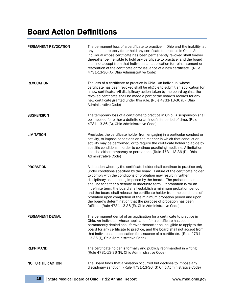# Board Action Definitions

| PERMANENT REVOCATION | The permanent loss of a certificate to practice in Ohio and the inability, at<br>any time, to reapply for or hold any certificate to practice in Ohio. An<br>individual whose certificate has been permanently revoked shall forever<br>thereafter be ineligible to hold any certificate to practice, and the board<br>shall not accept from that individual an application for reinstatement or<br>restoration of the certificate or for issuance of a new certificate. (Rule<br>4731-13-36 (A), Ohio Administrative Code)                                                                                                                                                                                                                     |
|----------------------|-------------------------------------------------------------------------------------------------------------------------------------------------------------------------------------------------------------------------------------------------------------------------------------------------------------------------------------------------------------------------------------------------------------------------------------------------------------------------------------------------------------------------------------------------------------------------------------------------------------------------------------------------------------------------------------------------------------------------------------------------|
| <b>REVOCATION</b>    | The loss of a certificate to practice in Ohio. An individual whose<br>certificate has been revoked shall be eligible to submit an application for<br>a new certificate. All disciplinary action taken by the board against the<br>revoked certificate shall be made a part of the board's records for any<br>new certificate granted under this rule. (Rule 4731-13-36 (B), Ohio<br>Administrative Code)                                                                                                                                                                                                                                                                                                                                        |
| <b>SUSPENSION</b>    | The temporary loss of a certificate to practice in Ohio. A suspension shall<br>be imposed for either a definite or an indefinite period of time. (Rule<br>4731-13-36 (C), Ohio Administrative Code)                                                                                                                                                                                                                                                                                                                                                                                                                                                                                                                                             |
| <b>LIMITATION</b>    | Precludes the certificate holder from engaging in a particular conduct or<br>activity, to impose conditions on the manner in which that conduct or<br>activity may be performed, or to require the certificate holder to abide by<br>specific conditions in order to continue practicing medicine. A limitation<br>shall be either temporary or permanent. (Rule 4731-13-36 (D), Ohio<br>Administrative Code)                                                                                                                                                                                                                                                                                                                                   |
| <b>PROBATION</b>     | A situation whereby the certificate holder shall continue to practice only<br>under conditions specified by the board. Failure of the certificate holder<br>to comply with the conditions of probation may result in further<br>disciplinary action being imposed by the board. The probation period<br>shall be for either a definite or indefinite term. If probation is for an<br>indefinite term, the board shall establish a minimum probation period<br>and the board shall release the certificate holder from the conditions of<br>probation upon completion of the minimum probation period and upon<br>the board's determination that the purpose of probation has been<br>fulfilled. (Rule 4731-13-36 (E), Ohio Administrative Code) |
| PERMANENT DENIAL     | The permanent denial of an application for a certificate to practice in<br>Ohio. An individual whose application for a certificate has been<br>permanently denied shall forever thereafter be ineligible to apply to the<br>board for any certificate to practice, and the board shall not accept from<br>that individual an application for issuance of a certificate. (Rule 4731-<br>13-36 (J), Ohio Administrative Code)                                                                                                                                                                                                                                                                                                                     |
| <b>REPRIMAND</b>     | The certificate holder is formally and publicly reprimanded in writing.<br>(Rule 4731-13-36 (F), Ohio Administrative Code)                                                                                                                                                                                                                                                                                                                                                                                                                                                                                                                                                                                                                      |
| NO FURTHER ACTION    | The Board finds that a violation occurred but declines to impose any<br>disciplinary sanction. (Rule 4731-13-36 (G) Ohio Administrative Code)                                                                                                                                                                                                                                                                                                                                                                                                                                                                                                                                                                                                   |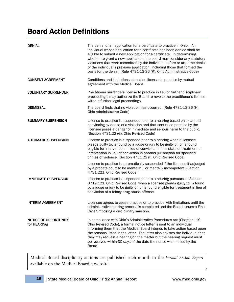## Board Action Definitions

| <b>DENIAL</b>                               | The denial of an application for a certificate to practice in Ohio. An<br>individual whose application for a certificate has been denied shall be<br>eligible to submit a new application for a certificate. In determining<br>whether to grant a new application, the board may consider any statutory<br>violations that were committed by the individual before or after the denial<br>of the individual's previous application, including those that formed the<br>basis for the denial. (Rule 4731-13-36 (K), Ohio Administrative Code) |
|---------------------------------------------|----------------------------------------------------------------------------------------------------------------------------------------------------------------------------------------------------------------------------------------------------------------------------------------------------------------------------------------------------------------------------------------------------------------------------------------------------------------------------------------------------------------------------------------------|
| <b>CONSENT AGREEMENT</b>                    | Conditions and limitations placed on licensee's practice by mutual<br>agreement with the Medical Board.                                                                                                                                                                                                                                                                                                                                                                                                                                      |
| <b>VOLUNTARY SURRENDER</b>                  | Practitioner surrenders license to practice in lieu of further disciplinary<br>proceedings; may authorize the Board to revoke the practitioner's license<br>without further legal proceedings.                                                                                                                                                                                                                                                                                                                                               |
| <b>DISMISSAL</b>                            | The board finds that no violation has occurred. (Rule 4731-13-36 (H),<br>Ohio Administrative Code)                                                                                                                                                                                                                                                                                                                                                                                                                                           |
| <b>SUMMARY SUSPENSION</b>                   | License to practice is suspended prior to a hearing based on clear and<br>convincing evidence of a violation and that continued practice by the<br>licensee poses a danger of immediate and serious harm to the public.<br>(Section 4731.22 (G), Ohio Revised Code)                                                                                                                                                                                                                                                                          |
| <b>AUTOMATIC SUSPENSION</b>                 | License to practice is suspended prior to a hearing when a licensee<br>pleads guilty to, is found by a judge or jury to be guilty of, or is found<br>eligible for intervention in lieu of conviction in this state or treatment or<br>intervention in lieu of conviction in another jurisdiction for specified<br>crimes of violence. (Section 4731.22 (I), Ohio Revised Code)                                                                                                                                                               |
|                                             | License to practice is automatically suspended if the licensee if adjudged<br>by a probate court to be mentally ill or mentally incompetent. (Section<br>4731.221, Ohio Revised Code)                                                                                                                                                                                                                                                                                                                                                        |
| <b>IMMEDIATE SUSPENSION</b>                 | License to practice is suspended prior to a hearing pursuant to Section<br>3719.121, Ohio Revised Code, when a licensee pleads guilty to, is found<br>by a judge or jury to be guilty of, or is found eligible for treatment in lieu of<br>conviction of a felony drug abuse offense.                                                                                                                                                                                                                                                        |
| <b>INTERIM AGREEMENT</b>                    | Licensee agrees to cease practice or to practice with limitations until the<br>administrative hearing process is completed and the Board issues a Final<br>Order imposing a disciplinary sanction.                                                                                                                                                                                                                                                                                                                                           |
| <b>NOTICE OF OPPORTUNITY</b><br>for HEARING | In compliance with Ohio's Administrative Procedures Act (Chapter 119,<br>Ohio Revised Code), a formal notice letter is sent to an individual<br>informing them that the Medical Board intends to take action based upon<br>the reasons listed in the letter. The letter also advises the individual that<br>they may request a hearing on the matter but the hearing request must<br>be received within 30 days of the date the notice was mailed by the<br>Board.                                                                           |

Medical Board disciplinary actions are published each<br>available on the Medical Board's website. Medical Board disciplinary actions are published each month in the *Formal Action Report*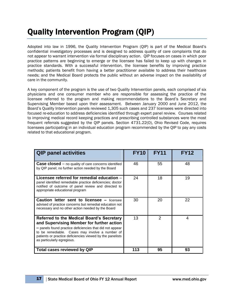# Quality Intervention Program (QIP)

Adopted into law in 1996, the Quality Intervention Program (QIP) is part of the Medical Board's confidential investigatory processes and is designed to address quality of care complaints that do not appear to warrant intervention via formal disciplinary action. QIP focuses on cases in which poor practice patterns are beginning to emerge or the licensee has failed to keep up with changes in practice standards. With a successful intervention, the licensee benefits by improving practice methods; patients benefit from having a better practitioner available to address their healthcare needs; and the Medical Board protects the public without an adverse impact on the availability of care in the community.

A key component of the program is the use of two Quality Intervention panels, each comprised of six physicians and one consumer member who are responsible for assessing the practice of the licensee referred to the program and making recommendations to the Board's Secretary and Supervising Member based upon their assessment. Between January 2000 and June 2012, the Board's Quality Intervention panels reviewed 1,305 such cases and 237 licensees were directed into focused re-education to address deficiencies identified through expert panel review. Courses related to improving medical record keeping practices and prescribing controlled substances were the most frequent referrals suggested by the QIP panels. Section 4731.22(O), Ohio Revised Code, requires licensees participating in an individual education program recommended by the QIP to pay any costs related to that educational program.

| <b>QIP panel activities</b>                                                                                                                                                                                                                                                                      | <b>FY10</b> | <b>FY11</b> | <b>FY12</b> |
|--------------------------------------------------------------------------------------------------------------------------------------------------------------------------------------------------------------------------------------------------------------------------------------------------|-------------|-------------|-------------|
| <b>Case closed</b> $-$ no quality of care concerns identified<br>by QIP panel; no further action needed by the Board                                                                                                                                                                             | 46          | 55          | 48          |
| Licensee referred for remedial education -<br>panel identified remediable practice deficiencies; doctor<br>notified of outcome of panel review and directed to<br>appropriate educational program                                                                                                | 24          | 18          | 19          |
| <b>Caution letter sent to licensee – licensee</b><br>advised of practice concerns but remedial education not<br>necessary and no other action needed by the Board                                                                                                                                | 30          | 20          | 22          |
| Referred to the Medical Board's Secretary<br>and Supervising Member for further action<br>- panels found practice deficiencies that did not appear<br>to be remediable. Cases may involve a number of<br>patients or practice deficiencies viewed by the panelists<br>as particularly egregious. | 13          | 2           | 4           |
| Total cases reviewed by QIP                                                                                                                                                                                                                                                                      | 113         | 95          | 93          |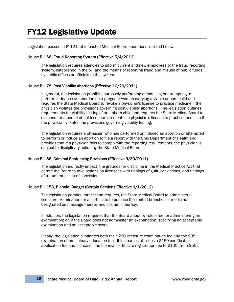# FY12 Legislative Update

Legislation passed in FY12 that impacted Medical Board operations is listed below:

### House Bill 66, Fraud Reporting System (Effective 5/4/2012)

The legislation requires agencies to inform current and new employees of the fraud reporting system, established in the bill and the means of reporting fraud and misuse of public funds by public offices or officials to the system.

### House Bill 78, Post Viability Abortions (Effective 10/20/2011)

In general, the legislation prohibits purposely performing or inducing or attempting to perform or induce an abortion on a pregnant woman carrying a viable unborn child and requires the State Medical Board to revoke a physician's license to practice medicine if the physician violates the provisions governing post-viability abortions. The legislation outlines requirements for viability testing of an unborn child and requires the State Medical Board to suspend for a period of not less than six months a physician's license to practice medicine if the physician violates the provisions governing viability testing.

The legislation requires a physician who has performed or induced an abortion or attempted to perform or induce an abortion to file a report with the Ohio Department of Health and provides that if a physician fails to comply with the reporting requirements, the physician is subject to disciplinary action by the State Medical Board.

#### House Bill 86, Criminal Sentencing Revisions (Effective 9/30/2011)

The legislation indirectly impact the grounds for discipline in the Medical Practice Act that permit the Board to take actions on licensees with findings of guilt, convictions, and findings of treatment in lieu of conviction.

#### House Bill 153, Biennial Budget (Certain Sections Effective 1/1/2012)

The legislation permits, rather than requires, the State Medical Board to administer a licensure examination for a certificate to practice the limited branches of medicine designated as massage therapy and cosmetic therapy.

In addition, the legislation requires that the Board adopt by rule a fee for administering an examination; or, if the Board does not administer an examination, specifying an acceptable examination and an acceptable score.

Finally, the legislation eliminates both the \$250 licensure examination fee and the \$35 examination of preliminary education fee. It instead establishes a \$150 certificate application fee and increases the biennial certificate registration fee to \$100 (from \$50).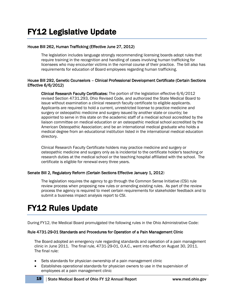### House Bill 262, Human Trafficking (Effective June 27, 2012)

The legislation includes language strongly recommending licensing boards adopt rules that require training in the recognition and handling of cases involving human trafficking for licensees who may encounter victims in the normal course of their practice. The bill also has requirements for education of Board employees regarding human trafficking.

### House Bill 292, Genetic Counselors – Clinical Professional Development Certificate (Certain Sections Effective 6/6/2012)

Clinical Research Faculty Certificates: The portion of the legislation effective 6/6/2012 revised Section 4731.293, Ohio Revised Code, and authorized the State Medical Board to issue without examination a clinical research faculty certificate to eligible applicants. Applicants are required to hold a current, unrestricted license to practice medicine and surgery or osteopathic medicine and surgery issued by another state or country; be appointed to serve in this state on the academic staff of a medical school accredited by the liaison committee on medical education or an osteopathic medical school accredited by the American Osteopathic Association; and be an international medical graduate who holds a medical degree from an educational institution listed in the international medical education directory.

Clinical Research Faculty Certificate holders may practice medicine and surgery or osteopathic medicine and surgery only as is incidental to the certificate holder's teaching or research duties at the medical school or the teaching hospital affiliated with the school. The certificate is eligible for renewal every three years.

### Senate Bill 2, Regulatory Reform (Certain Sections Effective January 1, 2012)

The legislation requires the agency to go through the Common Sense Initiative (CSI) rule review process when proposing new rules or amending existing rules. As part of the review process the agency is required to meet certain requirements for stakeholder feedback and to submit a business impact analysis report to CSI.

# FY12 Rules Update

During FY12, the Medical Board promulgated the following rules in the Ohio Administrative Code:

#### Rule 4731-29-01 Standards and Procedures for Operation of a Pain Management Clinic

The Board adopted an emergency rule regarding standards and operation of a pain management clinic in June 2011. The final rule, 4731-29-01, O.A.C., went into effect on August 30, 2011. The final rule:

- Sets standards for physician ownership of a pain management clinic
- Establishes operational standards for physician owners to use in the supervision of employees at a pain management clinic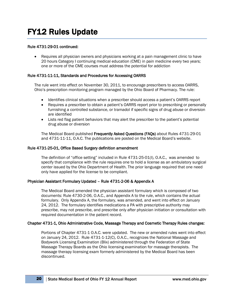### Rule 4731-29-01 continued:

• Requires all physician owners and physicians working at a pain management clinic to have 20 hours Category I continuing medical education (CME) in pain medicine every two years; one or more of the CME courses must address the potential for addiction

### Rule 4731-11-11, Standards and Procedures for Accessing OARRS

The rule went into effect on November 30, 2011, to encourage prescribers to access OARRS, Ohio's prescription monitoring program managed by the Ohio Board of Pharmacy. The rule:

- Identifies clinical situations when a prescriber should access a patient's OARRS report
- Requires a prescriber to obtain a patient's OARRS report prior to prescribing or personally furnishing a controlled substance, or tramadol if specific signs of drug abuse or diversion are identified
- Lists red flag patient behaviors that may alert the prescriber to the patient's potential drug abuse or diversion

The Medical Board published Frequently Asked Questions (FAQs) about Rules 4731-29-01 and 4731-11-11, O.A.C. The publications are posted on the Medical Board's website.

#### Rule 4731-25-01, Office Based Surgery definition amendment

The definition of "office setting" included in Rule 4731-25-01(I), O.A.C., was amended to specify that compliance with the rule requires one to hold a license as an ambulatory surgical center issued by the Ohio Department of Health. The prior language required that one need only have applied for the license to be compliant.

#### Physician Assistant Formulary Updated – Rule 4731-2-06 & Appendix A

The Medical Board amended the physician assistant formulary which is composed of two documents: Rule 4730-2-06, O.A.C., and Appendix A to the rule, which contains the actual formulary. Only Appendix A, the formulary, was amended, and went into effect on January 24, 2012. The formulary identifies medications a PA with prescriptive authority may prescribe, may not prescribe, and prescribe only after physician initiation or consultation with required documentation in the patient record.

### Chapter 4731-1, Ohio Administrative Code, Massage Therapy and Cosmetic Therapy Rules changes:

Portions of Chapter 4731-1 O.A.C. were updated. The new or amended rules went into effect on January 24, 2012. Rule 4731-1-12(C), O.A.C., recognizes the National Massage and Bodywork Licensing Examination (Blix) administered through the Federation of State Massage Therapy Boards as the Ohio licensing examination for massage therapists. The massage therapy licensing exam formerly administered by the Medical Board has been discontinued.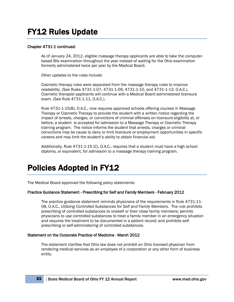# FY12 Rules Update

### Chapter 4731-1 continued:

As of January 24, 2012, eligible massage therapy applicants are able to take the computerbased Blix examination throughout the year instead of waiting for the Ohio examination formerly administered twice per year by the Medical Board.

Other updates to the rules include:

Cosmetic therapy rules were separated from the massage therapy rules to improve readability. (See Rules 4731-1-07, 4731-1-09, 4731-1-10, and 4731-1-13, O.A.C.). Cosmetic therapist applicants will continue with a Medical Board administered licensure exam. (See Rule 4731-1-11, O.A.C.).

Rule 4731-1-15(B), O.A.C., now requires approved schools offering courses in Massage Therapy or Cosmetic Therapy to provide the student with a written notice regarding the impact of arrests, charges, or convictions of criminal offenses on licensure eligibility at, or before, a student is accepted for admission to a Massage Therapy or Cosmetic Therapy training program. The notice informs the student that arrests, charges or criminal convictions may be cause to deny or limit licensure or employment opportunities in specific careers and may limit the student's ability to obtain financial aid.

Additionally, Rule 4731-1-15 (C), O.A.C., requires that a student must have a high school diploma, or equivalent, for admission to a massage therapy training program.

# Policies Adopted in FY12

The Medical Board approved the following policy statements:

### Practice Guidance Statement - Prescribing for Self and Family Members - February 2012

The practice guidance statement reminds physicians of the requirements in Rule 4731-11- 08, O.A.C., *Utilizing Controlled Substances for Self and Family Members.* The rule prohibits prescribing of controlled substances to oneself or their close family members; permits physicians to use controlled substances to treat a family member in an emergency situation and requires the treatment to be documented in a patient record; and prohibits selfprescribing or self-administering of controlled substances.

#### Statement on the Corporate Practice of Medicine - March 2012

The statement clarifies that Ohio law does not prohibit an Ohio licensed physician from rendering medical services as an employee of a corporation or any other form of business entity.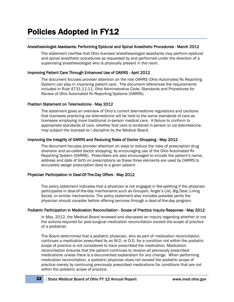### Anesthesiologist Assistants: Performing Epidural and Spinal Anesthetic Procedures - March 2012

The statement clarifies that Ohio licensed anesthesiologist assistants may perform epidural and spinal anesthetic procedures as requested by and performed under the direction of a supervising anesthesiologist who is physically present in the room.

### Improving Patient Care Through Enhanced Use of OARRS - April 2012

The document focuses provider attention on the role OARRS (Ohio Automated Rx Reporting System) can play in improving patient care. The document references the requirements included in Rule 4731-11-11, Ohio Administrative Code, Standards and Procedures for Review of Ohio Automated Rx Reporting Systems (OARRS).

#### Position Statement on Telemedicine - May 2012

The statement gives an overview of Ohio's current telemedicine regulations and cautions that licensees practicing via telemedicine will be held to the same standards of care as licensees employing more traditional in-person medical care. A failure to conform to appropriate standards of care, whether that care is rendered in-person or via telemedicine, may subject the licensee to l discipline by the Medical Board.

### Improving the Integrity of OARRS and Reducing Risks of Doctor Shopping - May 2012

The document focuses provider attention on ways to reduce the risks of prescription drug diversion and so-called doctor shopping, by encouraging use of the Ohio Automated Rx Reporting System (OARRS). Prescribers are also encouraged to include the patient's name, address and date of birth on prescriptions as these three elements are used by OARRS to accurately assign prescription data to a given patient.

### Physician Participation in Deal-Of-The-Day Offers - May 2012

The policy statement indicates that a physician is not engaged in fee-splitting if the physician participates in deal-of-the-day mechanisms such as Groupon, Angie's List, Big Deal, Living Social, or similar mechanisms. The policy statement also includes possible perils the physician should consider before offering services through a deal-of-the-day program.

#### Podiatric Participation in Medication Reconciliation - Scope of Practice Inquiry Response - May 2012

In May, 2012, the Medical Board reviewed and discussed an inquiry regarding whether or not the actions required for post-surgical medication reconciliation exceed the scope of practice of a podiatrist.

The Board determined that a podiatric physician, who as part of medication reconciliation, continues a medication prescribed by an M.D. or D.O. for a condition not within the podiatric scope of practice is not considered to have prescribed the medication. Medication reconciliation ensures that the patient continues to receive all previously prescribed medications unless there is a documented explanation for any change. When performing medication reconciliation, a podiatric physician does not exceed the podiatric scope of practice merely by continuing previously prescribed medications for conditions that are not within the podiatric scope of practice.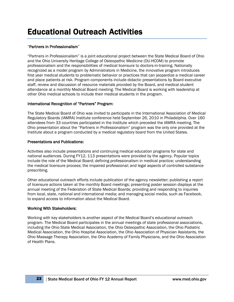# Educational Outreach Activities

### "Partners in Professionalism"

"Partners in Professionalism" is a joint educational project between the State Medical Board of Ohio and the Ohio University Heritage College of Osteopathic Medicine (OU-HCOM) to promote professionalism and the responsibilities of medical licensure to doctors-in-training. Nationally recognized as a model program by Administrators in Medicine, the innovative program introduces first year medical students to problematic behavior or practices that can jeopardize a medical career and place patients at risk. Program components include didactic presentations by Board executive staff, review and discussion of resource materials provided by the Board, and medical student attendance at a monthly Medical Board meeting. The Medical Board is working with leadership at other Ohio medical schools to include their medical students in the program.

### International Recognition of "Partners" Program:

The State Medical Board of Ohio was invited to participate in the International Association of Medical Regulatory Boards (IAMRA) Institute conference held September 26, 2010 in Philadelphia. Over 160 attendees from 33 countries participated in the Institute which preceded the IAMRA meeting. The Ohio presentation about the "Partners in Professionalism" program was the only one provided at the Institute about a program conducted by a medical regulatory board from the United States.

### Presentations and Publications:

Activities also include presentations and continuing medical education programs for state and national audiences. During FY12, 113 presentations were provided by the agency. Popular topics include the role of the Medical Board; defining professionalism in medical practice; understanding the medical licensure process; the impaired professional; and legal aspects of controlled substance prescribing.

Other educational outreach efforts include publication of the agency newsletter; publishing a report of licensure actions taken at the monthly Board meetings; presenting poster session displays at the annual meeting of the Federation of State Medical Boards; providing and responding to inquiries from local, state, national and international media; and managing social media, such as Facebook, to expand access to information about the Medical Board.

### Working With Stakeholders:

Working with key stakeholders is another aspect of the Medical Board's educational outreach program. The Medical Board participates in the annual meetings of state professional associations, including the Ohio State Medical Association, the Ohio Osteopathic Association, the Ohio Podiatric Medical Association, the Ohio Hospital Association, the Ohio Association of Physician Assistants, the Ohio Massage Therapy Association, the Ohio Academy of Family Physicians, and the Ohio Association of Health Plans.